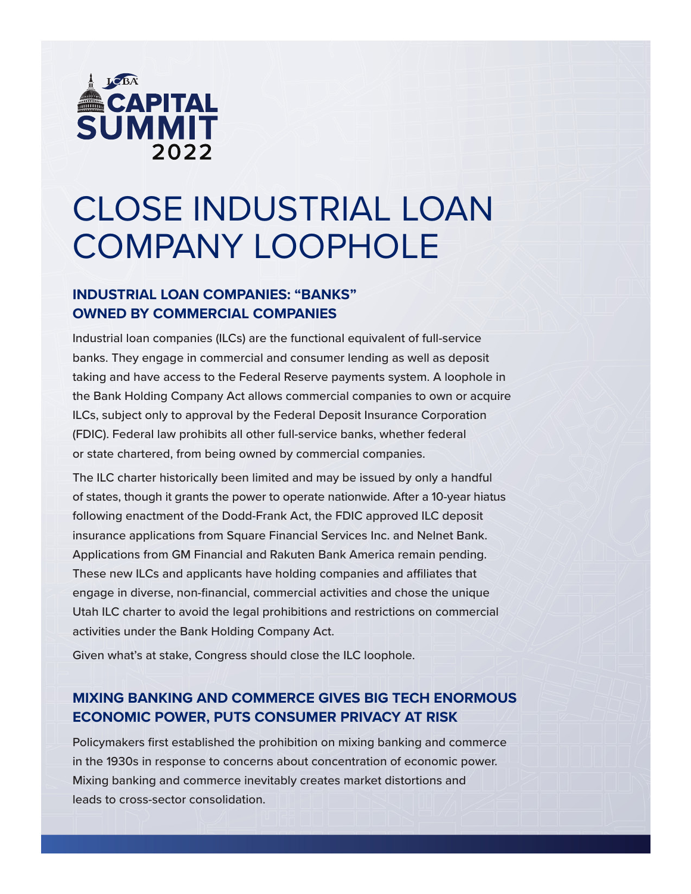

# CLOSE INDUSTRIAL LOAN COMPANY LOOPHOLE

### **INDUSTRIAL LOAN COMPANIES: "BANKS" OWNED BY COMMERCIAL COMPANIES**

Industrial loan companies (ILCs) are the functional equivalent of full-service banks. They engage in commercial and consumer lending as well as deposit taking and have access to the Federal Reserve payments system. A loophole in the Bank Holding Company Act allows commercial companies to own or acquire ILCs, subject only to approval by the Federal Deposit Insurance Corporation (FDIC). Federal law prohibits all other full-service banks, whether federal or state chartered, from being owned by commercial companies.

The ILC charter historically been limited and may be issued by only a handful of states, though it grants the power to operate nationwide. After a 10-year hiatus following enactment of the Dodd-Frank Act, the FDIC approved ILC deposit insurance applications from Square Financial Services Inc. and Nelnet Bank. Applications from GM Financial and Rakuten Bank America remain pending. These new ILCs and applicants have holding companies and affiliates that engage in diverse, non-financial, commercial activities and chose the unique Utah ILC charter to avoid the legal prohibitions and restrictions on commercial activities under the Bank Holding Company Act.

Given what's at stake, Congress should close the ILC loophole.

## **MIXING BANKING AND COMMERCE GIVES BIG TECH ENORMOUS ECONOMIC POWER, PUTS CONSUMER PRIVACY AT RISK**

Policymakers first established the prohibition on mixing banking and commerce in the 1930s in response to concerns about concentration of economic power. Mixing banking and commerce inevitably creates market distortions and leads to cross-sector consolidation.